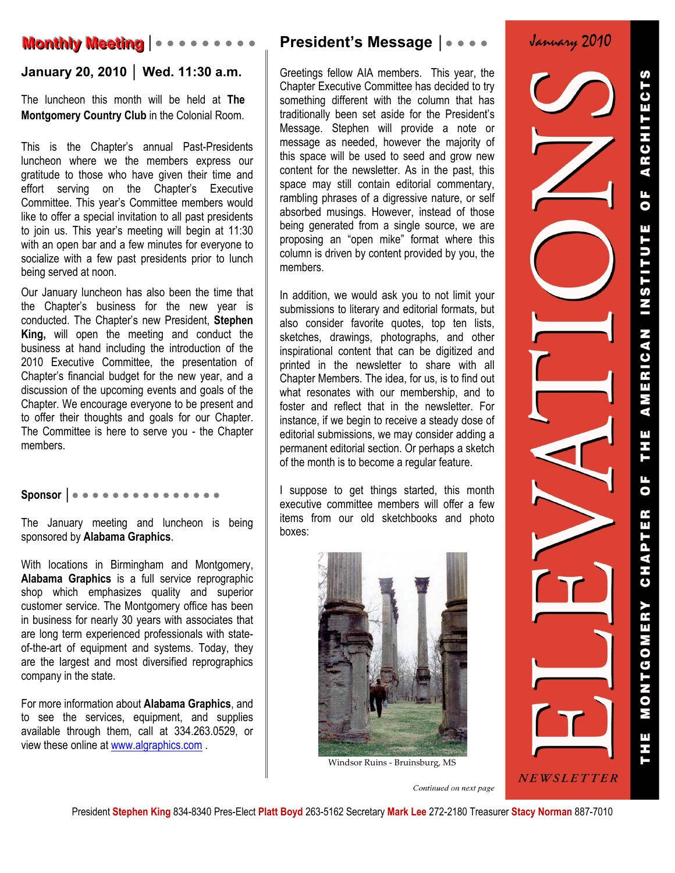# **Monthly Meeting │● ● ● ● ● ● ● ● ● ●**

## **January 20, 2010 │ Wed. 11:30 a.m.**

The luncheon this month will be held at **The Montgomery Country Club** in the Colonial Room.

This is the Chapter's annual Past-Presidents luncheon where we the members express our gratitude to those who have given their time and effort serving on the Chapter's Executive Committee. This year's Committee members would like to offer a special invitation to all past presidents to join us. This year's meeting will begin at 11:30 with an open bar and a few minutes for everyone to socialize with a few past presidents prior to lunch being served at noon.

Our January luncheon has also been the time that the Chapter's business for the new year is conducted. The Chapter's new President, **Stephen King,** will open the meeting and conduct the business at hand including the introduction of the 2010 Executive Committee, the presentation of Chapter's financial budget for the new year, and a discussion of the upcoming events and goals of the Chapter. We encourage everyone to be present and to offer their thoughts and goals for our Chapter. The Committee is here to serve you - the Chapter members.

### **Sponsor │● ● ● ● ● ● ● ● ● ● ● ● ● ● ●**

The January meeting and luncheon is being sponsored by **Alabama Graphics**.

With locations in Birmingham and Montgomery, **Alabama Graphics** is a full service reprographic shop which emphasizes quality and superior customer service. The Montgomery office has been in business for nearly 30 years with associates that are long term experienced professionals with stateof-the-art of equipment and systems. Today, they are the largest and most diversified reprographics company in the state.

For more information about **Alabama Graphics**, and to see the services, equipment, and supplies available through them, call at 334.263.0529, or view these online at www.algraphics.com .

# **President's Message │● ● ● ●**

Greetings fellow AIA members. This year, the Chapter Executive Committee has decided to try something different with the column that has traditionally been set aside for the President's Message. Stephen will provide a note or message as needed, however the majority of this space will be used to seed and grow new content for the newsletter. As in the past, this space may still contain editorial commentary, rambling phrases of a digressive nature, or self absorbed musings. However, instead of those being generated from a single source, we are proposing an "open mike" format where this column is driven by content provided by you, the members.

In addition, we would ask you to not limit your submissions to literary and editorial formats, but also consider favorite quotes, top ten lists, sketches, drawings, photographs, and other inspirational content that can be digitized and printed in the newsletter to share with all Chapter Members. The idea, for us, is to find out what resonates with our membership, and to foster and reflect that in the newsletter. For instance, if we begin to receive a steady dose of editorial submissions, we may consider adding a permanent editorial section. Or perhaps a sketch of the month is to become a regular feature.

I suppose to get things started, this month executive committee members will offer a few items from our old sketchbooks and photo boxes:



Windsor Ruins ‐ Bruinsburg, MS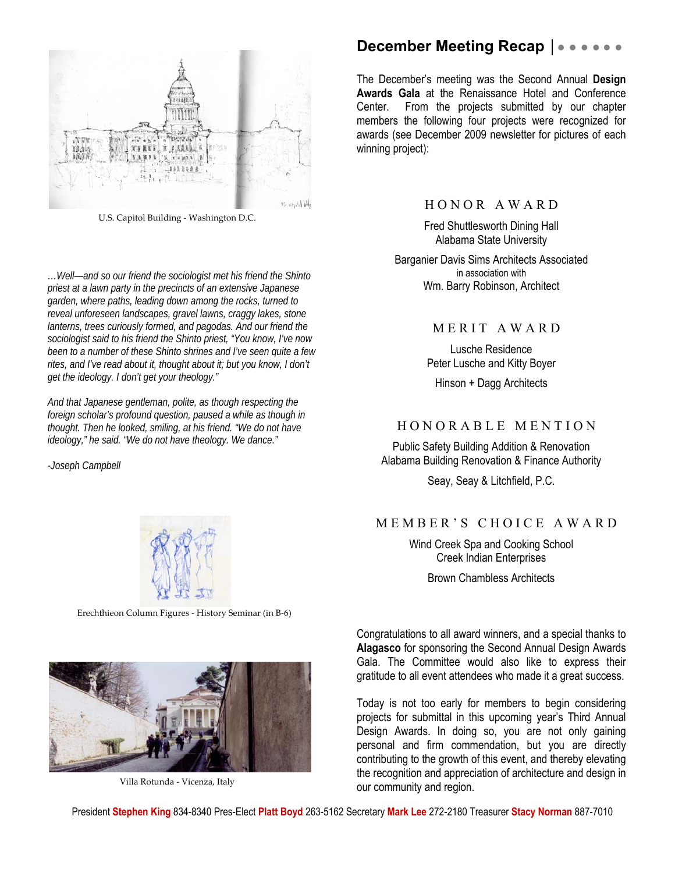

U.S. Capitol Building ‐ Washington D.C.

*…Well—and so our friend the sociologist met his friend the Shinto priest at a lawn party in the precincts of an extensive Japanese garden, where paths, leading down among the rocks, turned to reveal unforeseen landscapes, gravel lawns, craggy lakes, stone lanterns, trees curiously formed, and pagodas. And our friend the sociologist said to his friend the Shinto priest, "You know, I've now been to a number of these Shinto shrines and I've seen quite a few rites, and I've read about it, thought about it; but you know, I don't get the ideology. I don't get your theology."* 

*And that Japanese gentleman, polite, as though respecting the foreign scholar's profound question, paused a while as though in thought. Then he looked, smiling, at his friend. "We do not have ideology," he said. "We do not have theology. We dance."* 

*-Joseph Campbell* 



Erechthieon Column Figures ‐ History Seminar (in B‐6)



Villa Rotunda ‐ Vicenza, Italy

### **December Meeting Recap | • • •**

The December's meeting was the Second Annual **Design Awards Gala** at the Renaissance Hotel and Conference Center. From the projects submitted by our chapter members the following four projects were recognized for awards (see December 2009 newsletter for pictures of each winning project):

#### H O N O R A W A R D

Fred Shuttlesworth Dining Hall Alabama State University

Barganier Davis Sims Architects Associated in association with Wm. Barry Robinson, Architect

#### MERIT AWARD

Lusche Residence Peter Lusche and Kitty Boyer

Hinson + Dagg Architects

#### H O N O R A B L E M E N T I O N

Public Safety Building Addition & Renovation Alabama Building Renovation & Finance Authority

Seay, Seay & Litchfield, P.C.

#### M E M B E R ' S C H O I C E A W A R D

Wind Creek Spa and Cooking School Creek Indian Enterprises

Brown Chambless Architects

Congratulations to all award winners, and a special thanks to **Alagasco** for sponsoring the Second Annual Design Awards Gala. The Committee would also like to express their gratitude to all event attendees who made it a great success.

Today is not too early for members to begin considering projects for submittal in this upcoming year's Third Annual Design Awards. In doing so, you are not only gaining personal and firm commendation, but you are directly contributing to the growth of this event, and thereby elevating the recognition and appreciation of architecture and design in our community and region.